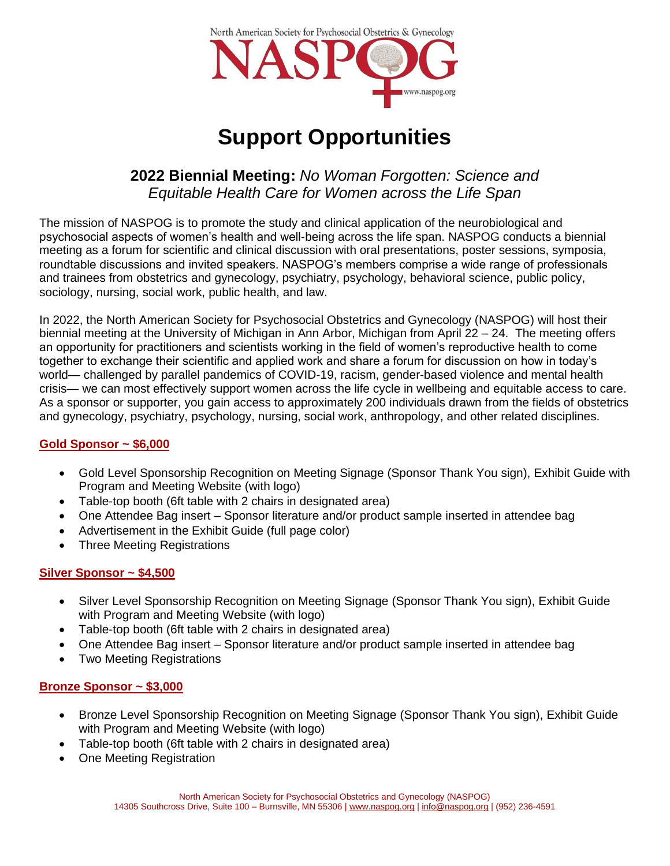

# **Support Opportunities**

# **2022 Biennial Meeting:** *No Woman Forgotten: Science and Equitable Health Care for Women across the Life Span*

The mission of NASPOG is to promote the study and clinical application of the neurobiological and psychosocial aspects of women's health and well-being across the life span. NASPOG conducts a biennial meeting as a forum for scientific and clinical discussion with oral presentations, poster sessions, symposia, roundtable discussions and invited speakers. NASPOG's members comprise a wide range of professionals and trainees from obstetrics and gynecology, psychiatry, psychology, behavioral science, public policy, sociology, nursing, social work, public health, and law.

In 2022, the North American Society for Psychosocial Obstetrics and Gynecology (NASPOG) will host their biennial meeting at the University of Michigan in Ann Arbor, Michigan from April 22 – 24. The meeting offers an opportunity for practitioners and scientists working in the field of women's reproductive health to come together to exchange their scientific and applied work and share a forum for discussion on how in today's world— challenged by parallel pandemics of COVID-19, racism, gender-based violence and mental health crisis— we can most effectively support women across the life cycle in wellbeing and equitable access to care. As a sponsor or supporter, you gain access to approximately 200 individuals drawn from the fields of obstetrics and gynecology, psychiatry, psychology, nursing, social work, anthropology, and other related disciplines.

# **Gold Sponsor ~ \$6,000**

- Gold Level Sponsorship Recognition on Meeting Signage (Sponsor Thank You sign), Exhibit Guide with Program and Meeting Website (with logo)
- Table-top booth (6ft table with 2 chairs in designated area)
- One Attendee Bag insert Sponsor literature and/or product sample inserted in attendee bag
- Advertisement in the Exhibit Guide (full page color)
- Three Meeting Registrations

# **Silver Sponsor ~ \$4,500**

- Silver Level Sponsorship Recognition on Meeting Signage (Sponsor Thank You sign), Exhibit Guide with Program and Meeting Website (with logo)
- Table-top booth (6ft table with 2 chairs in designated area)
- One Attendee Bag insert Sponsor literature and/or product sample inserted in attendee bag
- Two Meeting Registrations

# **Bronze Sponsor ~ \$3,000**

- Bronze Level Sponsorship Recognition on Meeting Signage (Sponsor Thank You sign), Exhibit Guide with Program and Meeting Website (with logo)
- Table-top booth (6ft table with 2 chairs in designated area)
- One Meeting Registration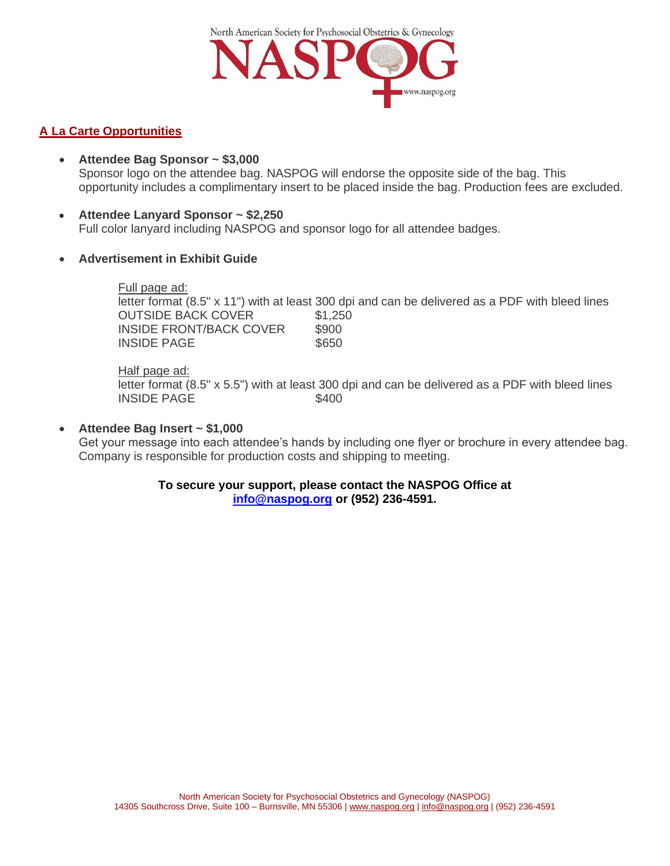North American Society for Psychosocial Obstetrics & Gynecology www.naspog.org

### **A La Carte Opportunities**

- **Attendee Bag Sponsor ~ \$3,000** Sponsor logo on the attendee bag. NASPOG will endorse the opposite side of the bag. This opportunity includes a complimentary insert to be placed inside the bag. Production fees are excluded.
- **Attendee Lanyard Sponsor ~ \$2,250** Full color lanyard including NASPOG and sponsor logo for all attendee badges.
- **Advertisement in Exhibit Guide**

#### Full page ad:

letter format (8.5" x 11") with at least 300 dpi and can be delivered as a PDF with bleed lines OUTSIDE BACK COVER \$1,250 INSIDE FRONT/BACK COVER \$900 INSIDE PAGE \$650

#### Half page ad:

letter format (8.5" x 5.5") with at least 300 dpi and can be delivered as a PDF with bleed lines INSIDE PAGE \$400

#### • **Attendee Bag Insert ~ \$1,000**

Get your message into each attendee's hands by including one flyer or brochure in every attendee bag. Company is responsible for production costs and shipping to meeting.

#### **To secure your support, please contact the NASPOG Office at [info@naspog.org](mailto:info@naspog.org) or (952) 236-4591.**